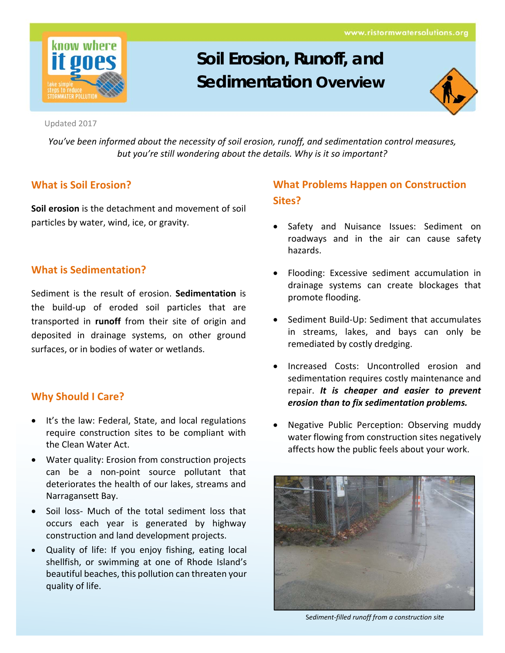www.ristormwatersolutions.org



# **Soil Erosion, Runoff, and Sedimentation Overview**



*You've been informed about the necessity of soil erosion, runoff, and sedimentation control measures, but you're still wondering about the details. Why is it so important?*

## **What is Soil Erosion?**

**Soil erosion** is the detachment and movement of soil particles by water, wind, ice, or gravity.

## **What is Sedimentation?**

Sediment is the result of erosion. **Sedimentation** is the build‐up of eroded soil particles that are transported in **runoff** from their site of origin and deposited in drainage systems, on other ground surfaces, or in bodies of water or wetlands.

## **Why Should I Care?**

- It's the law: Federal, State, and local regulations require construction sites to be compliant with the Clean Water Act.
- Water quality: Erosion from construction projects can be a non‐point source pollutant that deteriorates the health of our lakes, streams and Narragansett Bay.
- Soil loss‐ Much of the total sediment loss that occurs each year is generated by highway construction and land development projects.
- Quality of life: If you enjoy fishing, eating local shellfish, or swimming at one of Rhode Island's beautiful beaches, this pollution can threaten your quality of life.

# **What Problems Happen on Construction Sites?**

- Safety and Nuisance Issues: Sediment on roadways and in the air can cause safety hazards.
- Flooding: Excessive sediment accumulation in drainage systems can create blockages that promote flooding.
- Sediment Build-Up: Sediment that accumulates in streams, lakes, and bays can only be remediated by costly dredging.
- Increased Costs: Uncontrolled erosion and sedimentation requires costly maintenance and repair. *It is cheaper and easier to prevent erosion than to fix sedimentation problems.*
- Negative Public Perception: Observing muddy water flowing from construction sites negatively affects how the public feels about your work.



S*ediment‐filled runoff from a construction site*